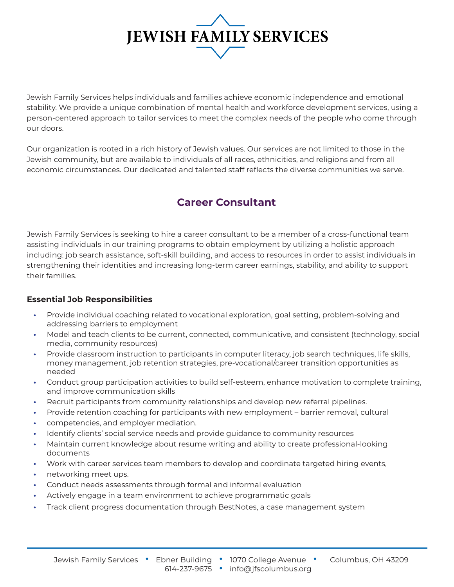

Jewish Family Services helps individuals and families achieve economic independence and emotional stability. We provide a unique combination of mental health and workforce development services, using a person-centered approach to tailor services to meet the complex needs of the people who come through our doors.

Our organization is rooted in a rich history of Jewish values. Our services are not limited to those in the Jewish community, but are available to individuals of all races, ethnicities, and religions and from all economic circumstances. Our dedicated and talented staff reflects the diverse communities we serve.

#### **Career Consultant**

Jewish Family Services is seeking to hire a career consultant to be a member of a cross-functional team assisting individuals in our training programs to obtain employment by utilizing a holistic approach including: job search assistance, soft-skill building, and access to resources in order to assist individuals in strengthening their identities and increasing long-term career earnings, stability, and ability to support their families.

#### **Essential Job Responsibilities**

- **•** Provide individual coaching related to vocational exploration, goal setting, problem-solving and addressing barriers to employment
- **•** Model and teach clients to be current, connected, communicative, and consistent (technology, social media, community resources)
- **•** Provide classroom instruction to participants in computer literacy, job search techniques, life skills, money management, job retention strategies, pre-vocational/career transition opportunities as needed
- **•** Conduct group participation activities to build self-esteem, enhance motivation to complete training, and improve communication skills
- **•** Recruit participants from community relationships and develop new referral pipelines.
- **•** Provide retention coaching for participants with new employment barrier removal, cultural
- **•** competencies, and employer mediation.
- **•** Identify clients' social service needs and provide guidance to community resources
- **•** Maintain current knowledge about resume writing and ability to create professional-looking documents
- **•** Work with career services team members to develop and coordinate targeted hiring events,
- **•** networking meet ups.
- **•** Conduct needs assessments through formal and informal evaluation
- **•** Actively engage in a team environment to achieve programmatic goals
- **•** Track client progress documentation through BestNotes, a case management system